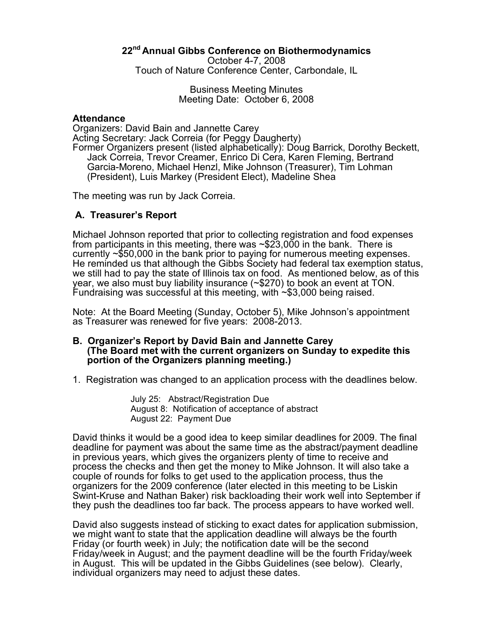# **22nd Annual Gibbs Conference on Biothermodynamics**

October 4-7, 2008

Touch of Nature Conference Center, Carbondale, IL

Business Meeting Minutes Meeting Date: October 6, 2008

### **Attendance**

Organizers: David Bain and Jannette Carey Acting Secretary: Jack Correia (for Peggy Daugherty) Former Organizers present (listed alphabetically): Doug Barrick, Dorothy Beckett, Jack Correia, Trevor Creamer, Enrico Di Cera, Karen Fleming, Bertrand Garcia-Moreno, Michael Henzl, Mike Johnson (Treasurer), Tim Lohman (President), Luis Markey (President Elect), Madeline Shea

The meeting was run by Jack Correia.

# **A. Treasurer's Report**

Michael Johnson reported that prior to collecting registration and food expenses from participants in this meeting, there was ~\$23,000 in the bank. There is currently ~\$50,000 in the bank prior to paying for numerous meeting expenses. He reminded us that although the Gibbs Society had federal tax exemption status, we still had to pay the state of Illinois tax on food. As mentioned below, as of this year, we also must buy liability insurance (~\$270) to book an event at TON.<br>Fundraising was successful at this meeting, with ~\$3,000 being raised.

Note: At the Board Meeting (Sunday, October 5), Mike Johnson's appointment as Treasurer was renewed for five years: 2008-2013.

### **B. Organizer's Report by David Bain and Jannette Carey (The Board met with the current organizers on Sunday to expedite this portion of the Organizers planning meeting.)**

1. Registration was changed to an application process with the deadlines below.

July 25: Abstract/Registration Due August 8: Notification of acceptance of abstract August 22: Payment Due

David thinks it would be a good idea to keep similar deadlines for 2009. The final deadline for payment was about the same time as the abstract/payment deadline in previous years, which gives the organizers plenty of time to receive and process the checks and then get the money to Mike Johnson. It will also take a couple of rounds for folks to get used to the application process, thus the organizers for the 2009 conference (later elected in this meeting to be Liskin Swint-Kruse and Nathan Baker) risk backloading their work well into September if they push the deadlines too far back. The process appears to have worked well.

David also suggests instead of sticking to exact dates for application submission, we might want to state that the application deadline will always be the fourth Friday (or fourth week) in July; the notification date will be the second Friday/week in August; and the payment deadline will be the fourth Friday/week in August. This will be updated in the Gibbs Guidelines (see below). Clearly, individual organizers may need to adjust these dates.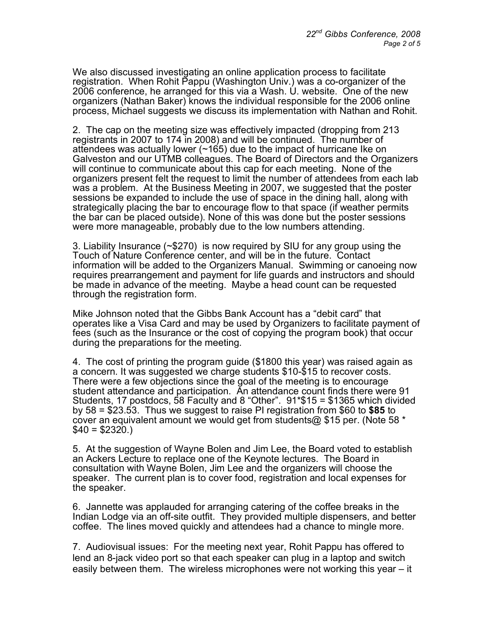We also discussed investigating an online application process to facilitate registration. When Rohit Pappu (Washington Univ.) was a co-organizer of the 2006 conference, he arranged for this via a Wash. U. website. One of the new organizers (Nathan Baker) knows the individual responsible for the 2006 online process, Michael suggests we discuss its implementation with Nathan and Rohit.

2. The cap on the meeting size was effectively impacted (dropping from 213 registrants in 2007 to 174 in 2008) and will be continued. The number of attendees was actually lower (~165) due to the impact of hurricane Ike on Galveston and our UTMB colleagues. The Board of Directors and the Organizers will continue to communicate about this cap for each meeting. None of the organizers present felt the request to limit the number of attendees from each lab was a problem. At the Business Meeting in 2007, we suggested that the poster sessions be expanded to include the use of space in the dining hall, along with strategically placing the bar to encourage flow to that space (if weather permits the bar can be placed outside). None of this was done but the poster sessions were more manageable, probably due to the low numbers attending.

3. Liability Insurance (~\$270) is now required by SIU for any group using the Touch of Nature Conference center, and will be in the future. Contact information will be added to the Organizers Manual. Swimming or canoeing now requires prearrangement and payment for life guards and instructors and should be made in advance of the meeting. Maybe a head count can be requested through the registration form.

Mike Johnson noted that the Gibbs Bank Account has a "debit card" that operates like a Visa Card and may be used by Organizers to facilitate payment of fees (such as the Insurance or the cost of copying the program book) that occur during the preparations for the meeting.

4. The cost of printing the program guide (\$1800 this year) was raised again as a concern. It was suggested we charge students \$10-\$15 to recover costs. There were a few objections since the goal of the meeting is to encourage student attendance and participation. An attendance count finds there were 91 Students, 17 postdocs, 58 Faculty and 8 "Other". 91\*\$15 = \$1365 which divided by 58 = \$23.53. Thus we suggest to raise PI registration from \$60 to **\$85** to cover an equivalent amount we would get from students@ \$15 per. (Note 58 \*  $$40 = $2320.$ 

5. At the suggestion of Wayne Bolen and Jim Lee, the Board voted to establish an Ackers Lecture to replace one of the Keynote lectures. The Board in consultation with Wayne Bolen, Jim Lee and the organizers will choose the speaker. The current plan is to cover food, registration and local expenses for the speaker.

6. Jannette was applauded for arranging catering of the coffee breaks in the Indian Lodge via an off-site outfit. They provided multiple dispensers, and better coffee. The lines moved quickly and attendees had a chance to mingle more.

7. Audiovisual issues: For the meeting next year, Rohit Pappu has offered to lend an 8-jack video port so that each speaker can plug in a laptop and switch easily between them. The wireless microphones were not working this year – it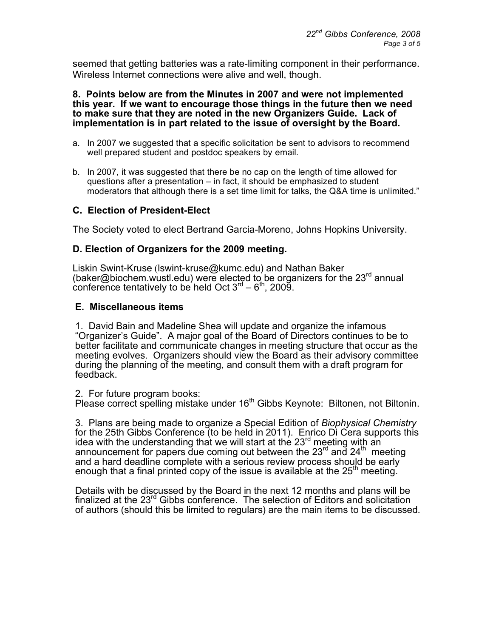seemed that getting batteries was a rate-limiting component in their performance. Wireless Internet connections were alive and well, though.

### **8. Points below are from the Minutes in 2007 and were not implemented this year. If we want to encourage those things in the future then we need to make sure that they are noted in the new Organizers Guide. Lack of implementation is in part related to the issue of oversight by the Board.**

- a. In 2007 we suggested that a specific solicitation be sent to advisors to recommend well prepared student and postdoc speakers by email.
- b. In 2007, it was suggested that there be no cap on the length of time allowed for questions after a presentation – in fact, it should be emphasized to student moderators that although there is a set time limit for talks, the Q&A time is unlimited."

# **C. Election of President-Elect**

The Society voted to elect Bertrand Garcia-Moreno, Johns Hopkins University.

# **D. Election of Organizers for the 2009 meeting.**

Liskin Swint-Kruse (lswint-kruse@kumc.edu) and Nathan Baker (baker@biochem.wustl.edu) were elected to be organizers for the  $23<sup>rd</sup>$  annual conference tentatively to be held Oct  $3<sup>rd</sup> - 6<sup>th</sup>$ , 2009.

# **E. Miscellaneous items**

1. David Bain and Madeline Shea will update and organize the infamous "Organizer's Guide". A major goal of the Board of Directors continues to be to better facilitate and communicate changes in meeting structure that occur as the meeting evolves. Organizers should view the Board as their advisory committee during the planning of the meeting, and consult them with a draft program for feedback.

### 2. For future program books:

Please correct spelling mistake under 16<sup>th</sup> Gibbs Keynote: Biltonen, not Biltonin.

3. Plans are being made to organize a Special Edition of *Biophysical Chemistry* for the 25th Gibbs Conference (to be held in 2011). Enrico Di Cera supports this idea with the understanding that we will start at the  $23<sup>rd</sup>$  meeting with an announcement for papers due coming out between the 23 $^{\rm rd}$  and 24 $^{\rm th}$  meeting and a hard deadline complete with a serious review process should be early enough that a final printed copy of the issue is available at the  $25<sup>th</sup>$  meeting.

Details with be discussed by the Board in the next 12 months and plans will be finalized at the 23rd Gibbs conference. The selection of Editors and solicitation of authors (should this be limited to regulars) are the main items to be discussed.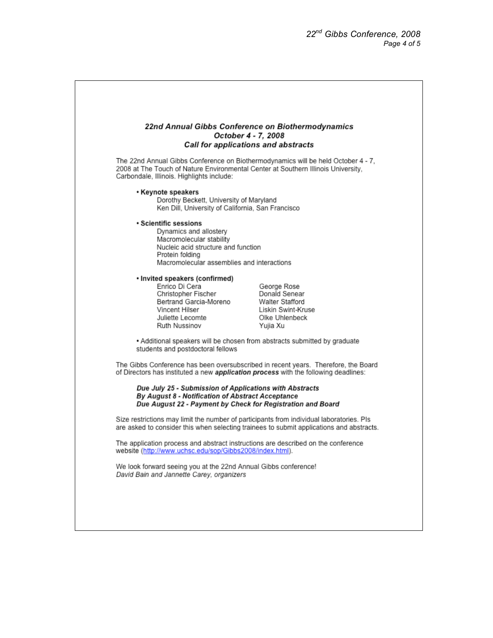### 22nd Annual Gibbs Conference on Biothermodynamics October 4 - 7, 2008 Call for applications and abstracts

The 22nd Annual Gibbs Conference on Biothermodynamics will be held October 4 - 7, 2008 at The Touch of Nature Environmental Center at Southern Illinois University, Carbondale, Illinois. Highlights include:

#### • Keynote speakers

Dorothy Beckett, University of Maryland Ken Dill, University of California, San Francisco

#### · Scientific sessions

Dynamics and allostery Macromolecular stability Nucleic acid structure and function Protein folding Macromolecular assemblies and interactions

#### · Invited speakers (confirmed)

Enrico Di Cera Christopher Fischer Bertrand Garcia-Moreno Vincent Hilser Juliette Lecomte Ruth Nussinov

George Rose Donald Senear Walter Stafford Liskin Swint-Kruse Olke Uhlenbeck Yujia Xu

• Additional speakers will be chosen from abstracts submitted by graduate students and postdoctoral fellows

The Gibbs Conference has been oversubscribed in recent years. Therefore, the Board of Directors has instituted a new application process with the following deadlines:

Due July 25 - Submission of Applications with Abstracts By August 8 - Notification of Abstract Acceptance Due August 22 - Payment by Check for Registration and Board

Size restrictions may limit the number of participants from individual laboratories. Pls are asked to consider this when selecting trainees to submit applications and abstracts.

The application process and abstract instructions are described on the conference website (http://www.uchsc.edu/sop/Gibbs2008/index.html).

We look forward seeing you at the 22nd Annual Gibbs conference! David Bain and Jannette Carey, organizers